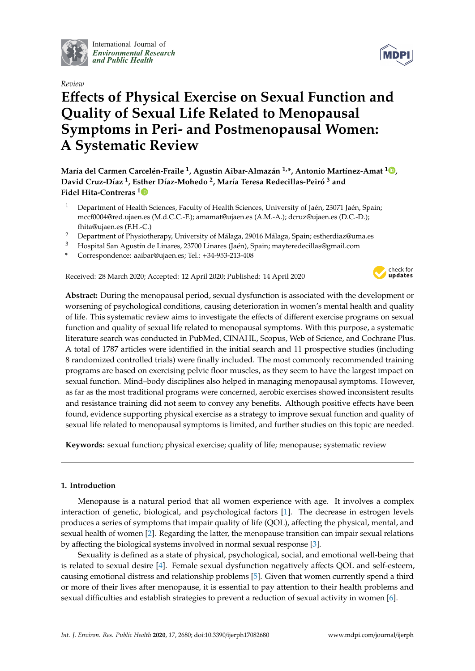

International Journal of *[Environmental Research](http://www.mdpi.com/journal/ijerph) and Public Health*

## *Review*

# **E**ff**ects of Physical Exercise on Sexual Function and Quality of Sexual Life Related to Menopausal Symptoms in Peri- and Postmenopausal Women: A Systematic Review**

**María del Carmen Carcelén-Fraile <sup>1</sup> , Agustín Aibar-Almazán 1,\*, Antonio Martínez-Amat <sup>1</sup> [,](https://orcid.org/0000-0002-9652-791X) David Cruz-Díaz <sup>1</sup> , Esther Díaz-Mohedo <sup>2</sup> , María Teresa Redecillas-Peiró <sup>3</sup> and Fidel Hita-Contreras [1](https://orcid.org/0000-0001-7215-5456)**

- <sup>1</sup> Department of Health Sciences, Faculty of Health Sciences, University of Jaén, 23071 Jaén, Spain; mccf0004@red.ujaen.es (M.d.C.C.-F.); amamat@ujaen.es (A.M.-A.); dcruz@ujaen.es (D.C.-D.); fhita@ujaen.es (F.H.-C.)
- <sup>2</sup> Department of Physiotherapy, University of Málaga, 29016 Málaga, Spain; estherdiaz@uma.es
- <sup>3</sup> Hospital San Agustín de Linares, 23700 Linares (Jaén), Spain; mayteredecillas@gmail.com
- **\*** Correspondence: aaibar@ujaen.es; Tel.: +34-953-213-408

Received: 28 March 2020; Accepted: 12 April 2020; Published: 14 April 2020



**Abstract:** During the menopausal period, sexual dysfunction is associated with the development or worsening of psychological conditions, causing deterioration in women's mental health and quality of life. This systematic review aims to investigate the effects of different exercise programs on sexual function and quality of sexual life related to menopausal symptoms. With this purpose, a systematic literature search was conducted in PubMed, CINAHL, Scopus, Web of Science, and Cochrane Plus. A total of 1787 articles were identified in the initial search and 11 prospective studies (including 8 randomized controlled trials) were finally included. The most commonly recommended training programs are based on exercising pelvic floor muscles, as they seem to have the largest impact on sexual function. Mind–body disciplines also helped in managing menopausal symptoms. However, as far as the most traditional programs were concerned, aerobic exercises showed inconsistent results and resistance training did not seem to convey any benefits. Although positive effects have been found, evidence supporting physical exercise as a strategy to improve sexual function and quality of sexual life related to menopausal symptoms is limited, and further studies on this topic are needed.

**Keywords:** sexual function; physical exercise; quality of life; menopause; systematic review

# **1. Introduction**

Menopause is a natural period that all women experience with age. It involves a complex interaction of genetic, biological, and psychological factors [\[1\]](#page-13-0). The decrease in estrogen levels produces a series of symptoms that impair quality of life (QOL), affecting the physical, mental, and sexual health of women [\[2\]](#page-13-1). Regarding the latter, the menopause transition can impair sexual relations by affecting the biological systems involved in normal sexual response [\[3\]](#page-13-2).

Sexuality is defined as a state of physical, psychological, social, and emotional well-being that is related to sexual desire [\[4\]](#page-13-3). Female sexual dysfunction negatively affects QOL and self-esteem, causing emotional distress and relationship problems [\[5\]](#page-13-4). Given that women currently spend a third or more of their lives after menopause, it is essential to pay attention to their health problems and sexual difficulties and establish strategies to prevent a reduction of sexual activity in women [\[6\]](#page-13-5).

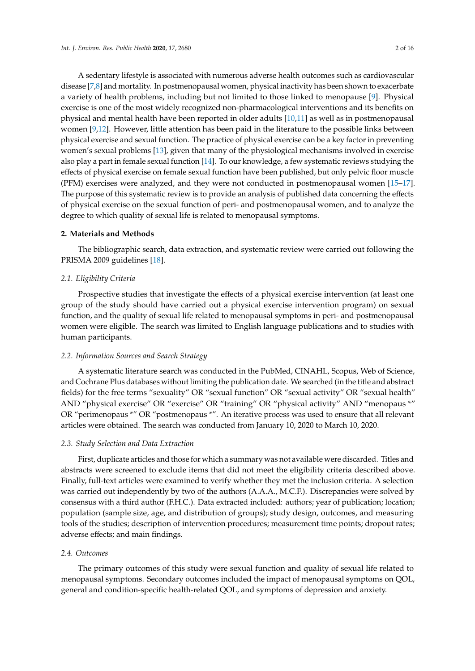A sedentary lifestyle is associated with numerous adverse health outcomes such as cardiovascular disease [\[7](#page-13-6)[,8\]](#page-13-7) and mortality. In postmenopausal women, physical inactivity has been shown to exacerbate a variety of health problems, including but not limited to those linked to menopause [\[9\]](#page-13-8). Physical exercise is one of the most widely recognized non-pharmacological interventions and its benefits on physical and mental health have been reported in older adults [\[10,](#page-13-9)[11\]](#page-13-10) as well as in postmenopausal women [\[9,](#page-13-8)[12\]](#page-13-11). However, little attention has been paid in the literature to the possible links between physical exercise and sexual function. The practice of physical exercise can be a key factor in preventing women's sexual problems [\[13\]](#page-13-12), given that many of the physiological mechanisms involved in exercise also play a part in female sexual function [\[14\]](#page-13-13). To our knowledge, a few systematic reviews studying the effects of physical exercise on female sexual function have been published, but only pelvic floor muscle (PFM) exercises were analyzed, and they were not conducted in postmenopausal women [\[15–](#page-13-14)[17\]](#page-13-15). The purpose of this systematic review is to provide an analysis of published data concerning the effects of physical exercise on the sexual function of peri- and postmenopausal women, and to analyze the degree to which quality of sexual life is related to menopausal symptoms.

#### **2. Materials and Methods**

The bibliographic search, data extraction, and systematic review were carried out following the PRISMA 2009 guidelines [\[18\]](#page-13-16).

#### *2.1. Eligibility Criteria*

Prospective studies that investigate the effects of a physical exercise intervention (at least one group of the study should have carried out a physical exercise intervention program) on sexual function, and the quality of sexual life related to menopausal symptoms in peri- and postmenopausal women were eligible. The search was limited to English language publications and to studies with human participants.

#### *2.2. Information Sources and Search Strategy*

A systematic literature search was conducted in the PubMed, CINAHL, Scopus, Web of Science, and Cochrane Plus databases without limiting the publication date. We searched (in the title and abstract fields) for the free terms "sexuality" OR "sexual function" OR "sexual activity" OR "sexual health" AND "physical exercise" OR "exercise" OR "training" OR "physical activity" AND "menopaus \*" OR "perimenopaus \*" OR "postmenopaus \*". An iterative process was used to ensure that all relevant articles were obtained. The search was conducted from January 10, 2020 to March 10, 2020.

#### *2.3. Study Selection and Data Extraction*

First, duplicate articles and those for which a summary was not available were discarded. Titles and abstracts were screened to exclude items that did not meet the eligibility criteria described above. Finally, full-text articles were examined to verify whether they met the inclusion criteria. A selection was carried out independently by two of the authors (A.A.A., M.C.F.). Discrepancies were solved by consensus with a third author (F.H.C.). Data extracted included: authors; year of publication; location; population (sample size, age, and distribution of groups); study design, outcomes, and measuring tools of the studies; description of intervention procedures; measurement time points; dropout rates; adverse effects; and main findings.

## *2.4. Outcomes*

The primary outcomes of this study were sexual function and quality of sexual life related to menopausal symptoms. Secondary outcomes included the impact of menopausal symptoms on QOL, general and condition-specific health-related QOL, and symptoms of depression and anxiety.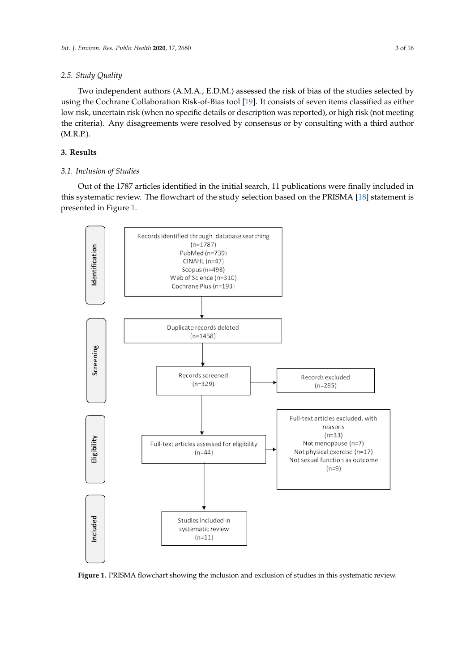#### *2.5. Study Quality*  $T \approx 1.8$ ,  $W$  $2.3.$  Statisfy  $\mathcal{Q}$  and  $\mathcal{Q}$

Two independent authors (A.M.A., E.D.M.) assessed the risk of bias of the studies selected by using the Cochrane Collaboration Risk-of-Bias tool [19]. It consists of seven items classified as either low risk, uncertain risk (when no specific details or description was reported), or high risk (not meeting the criteria). Any disagreements were resolved by consensus or by consulting with a third author (M.R.P.).

# **3. Results** *3.1. Inclusion of Studies*

# 3.1. Inclusion of Studies

Out of the 1787 articles identified in the initial search, 11 publications were finally included in this systematic review. The flowchart of the study selection based on the PRISMA [\[18\]](#page-13-16) statement is presented in Figure [1.](#page-2-0) this systematic review. The flowchart of the study selection based on the PRISMA [18] statement is  $\frac{1}{2}$  Out of the 1.

<span id="page-2-0"></span>

**Figure 1.** PRISMA flowchart showing the inclusion and exclusion of studies in this systematic review.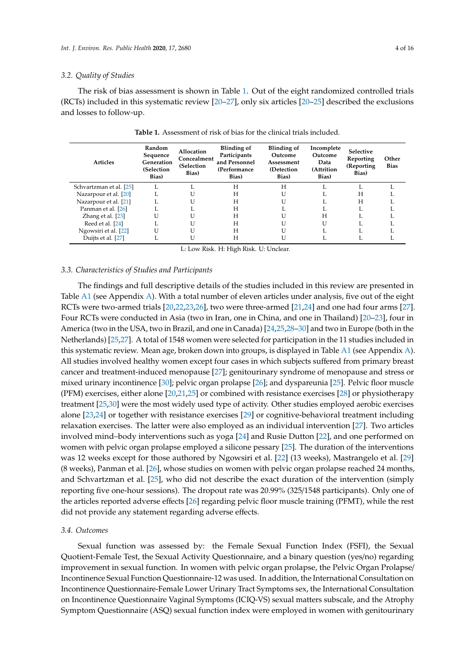#### *3.2. Quality of Studies*

The risk of bias assessment is shown in Table [1.](#page-3-0) Out of the eight randomized controlled trials (RCTs) included in this systematic review [\[20–](#page-14-0)[27\]](#page-14-1), only six articles [\[20](#page-14-0)[–25\]](#page-14-2) described the exclusions and losses to follow-up.

<span id="page-3-0"></span>

| <b>Articles</b>         | Random<br>Sequence<br>Generation<br>(Selection<br>Bias) | Allocation<br>Concealment<br>(Selection<br>Bias) | Blinding of<br>Participants<br>and Personnel<br>(Performance<br>Bias) | Blinding of<br>Outcome<br>Assessment<br>(Detection<br>Bias) | Incomplete<br>Outcome<br>Data<br>(Attrition<br>Bias) | Selective<br>Reporting<br>(Reporting)<br>Bias) | Other<br><b>Bias</b> |
|-------------------------|---------------------------------------------------------|--------------------------------------------------|-----------------------------------------------------------------------|-------------------------------------------------------------|------------------------------------------------------|------------------------------------------------|----------------------|
| Schvartzman et al. [25] | L                                                       |                                                  | H                                                                     | H                                                           |                                                      | п.                                             |                      |
| Nazarpour et al. [20]   |                                                         |                                                  | H                                                                     |                                                             |                                                      | H                                              |                      |
| Nazarpour et al. [21]   | Ι.                                                      |                                                  | H                                                                     | U                                                           |                                                      | H                                              |                      |
| Panman et al. [26]      |                                                         |                                                  | H                                                                     |                                                             |                                                      | п.                                             |                      |
| Zhang et al. [23]       |                                                         |                                                  | H                                                                     |                                                             | H                                                    |                                                |                      |
| Reed et al. [24]        |                                                         |                                                  | H                                                                     | U                                                           |                                                      |                                                |                      |
| Ngowsiri et al. [22]    |                                                         |                                                  | H                                                                     | U                                                           |                                                      |                                                |                      |
| Duijts et al. [27]      |                                                         |                                                  | H                                                                     |                                                             |                                                      |                                                |                      |

**Table 1.** Assessment of risk of bias for the clinical trials included.

L: Low Risk. H: High Risk. U: Unclear.

#### *3.3. Characteristics of Studies and Participants*

The findings and full descriptive details of the studies included in this review are presented in Table [A1](#page-12-0) (see Appendix [A\)](#page-8-0). With a total number of eleven articles under analysis, five out of the eight RCTs were two-armed trials [\[20,](#page-14-0)[22,](#page-14-7)[23,](#page-14-5)[26\]](#page-14-4), two were three-armed [\[21,](#page-14-3)[24\]](#page-14-6) and one had four arms [\[27\]](#page-14-1). Four RCTs were conducted in Asia (two in Iran, one in China, and one in Thailand) [\[20–](#page-14-0)[23\]](#page-14-5), four in America (two in the USA, two in Brazil, and one in Canada) [\[24](#page-14-6)[,25,](#page-14-2)[28](#page-14-8)[–30\]](#page-14-9) and two in Europe (both in the Netherlands) [\[25,](#page-14-2)[27\]](#page-14-1). A total of 1548 women were selected for participation in the 11 studies included in this systematic review. Mean age, broken down into groups, is displayed in Table [A1](#page-12-0) (see Appendix [A\)](#page-8-0). All studies involved healthy women except four cases in which subjects suffered from primary breast cancer and treatment-induced menopause [\[27\]](#page-14-1); genitourinary syndrome of menopause and stress or mixed urinary incontinence [\[30\]](#page-14-9); pelvic organ prolapse [\[26\]](#page-14-4); and dyspareunia [\[25\]](#page-14-2). Pelvic floor muscle (PFM) exercises, either alone [\[20](#page-14-0)[,21](#page-14-3)[,25\]](#page-14-2) or combined with resistance exercises [\[28\]](#page-14-8) or physiotherapy treatment [\[25](#page-14-2)[,30\]](#page-14-9) were the most widely used type of activity. Other studies employed aerobic exercises alone [\[23,](#page-14-5)[24\]](#page-14-6) or together with resistance exercises [\[29\]](#page-14-10) or cognitive-behavioral treatment including relaxation exercises. The latter were also employed as an individual intervention [\[27\]](#page-14-1). Two articles involved mind–body interventions such as yoga [\[24\]](#page-14-6) and Rusie Dutton [\[22\]](#page-14-7), and one performed on women with pelvic organ prolapse employed a silicone pessary [\[25\]](#page-14-2). The duration of the interventions was 12 weeks except for those authored by Ngowsiri et al. [\[22\]](#page-14-7) (13 weeks), Mastrangelo et al. [\[29\]](#page-14-10) (8 weeks), Panman et al. [\[26\]](#page-14-4), whose studies on women with pelvic organ prolapse reached 24 months, and Schvartzman et al. [\[25\]](#page-14-2), who did not describe the exact duration of the intervention (simply reporting five one-hour sessions). The dropout rate was 20.99% (325/1548 participants). Only one of the articles reported adverse effects [\[26\]](#page-14-4) regarding pelvic floor muscle training (PFMT), while the rest did not provide any statement regarding adverse effects.

#### *3.4. Outcomes*

Sexual function was assessed by: the Female Sexual Function Index (FSFI), the Sexual Quotient-Female Test, the Sexual Activity Questionnaire, and a binary question (yes/no) regarding improvement in sexual function. In women with pelvic organ prolapse, the Pelvic Organ Prolapse/ Incontinence Sexual Function Questionnaire-12 was used. In addition, the International Consultation on Incontinence Questionnaire-Female Lower Urinary Tract Symptoms sex, the International Consultation on Incontinence Questionnaire Vaginal Symptoms (ICIQ-VS) sexual matters subscale, and the Atrophy Symptom Questionnaire (ASQ) sexual function index were employed in women with genitourinary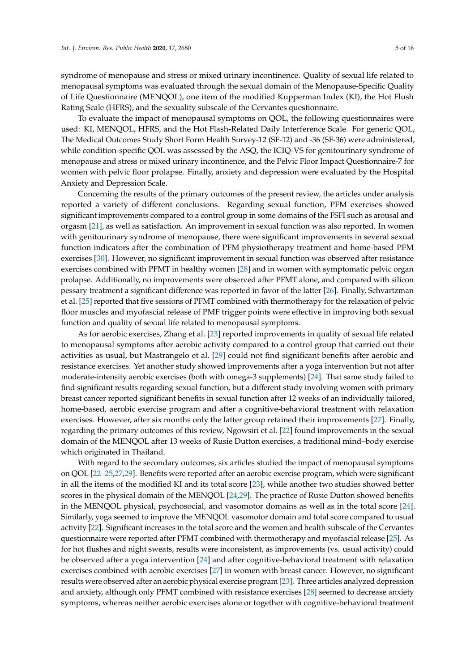syndrome of menopause and stress or mixed urinary incontinence. Quality of sexual life related to menopausal symptoms was evaluated through the sexual domain of the Menopause-Specific Quality of Life Questionnaire (MENQOL), one item of the modified Kupperman Index (KI), the Hot Flush Rating Scale (HFRS), and the sexuality subscale of the Cervantes questionnaire.

To evaluate the impact of menopausal symptoms on QOL, the following questionnaires were used: KI, MENQOL, HFRS, and the Hot Flash-Related Daily Interference Scale. For generic QOL, The Medical Outcomes Study Short Form Health Survey-12 (SF-12) and -36 (SF-36) were administered, while condition-specific QOL was assessed by the ASQ, the ICIQ-VS for genitourinary syndrome of menopause and stress or mixed urinary incontinence, and the Pelvic Floor Impact Questionnaire-7 for women with pelvic floor prolapse. Finally, anxiety and depression were evaluated by the Hospital Anxiety and Depression Scale.

Concerning the results of the primary outcomes of the present review, the articles under analysis reported a variety of different conclusions. Regarding sexual function, PFM exercises showed significant improvements compared to a control group in some domains of the FSFI such as arousal and orgasm [\[21\]](#page-14-3), as well as satisfaction. An improvement in sexual function was also reported. In women with genitourinary syndrome of menopause, there were significant improvements in several sexual function indicators after the combination of PFM physiotherapy treatment and home-based PFM exercises [\[30\]](#page-14-9). However, no significant improvement in sexual function was observed after resistance exercises combined with PFMT in healthy women [\[28\]](#page-14-8) and in women with symptomatic pelvic organ prolapse. Additionally, no improvements were observed after PFMT alone, and compared with silicon pessary treatment a significant difference was reported in favor of the latter [\[26\]](#page-14-4). Finally, Schvartzman et al. [\[25\]](#page-14-2) reported that five sessions of PFMT combined with thermotherapy for the relaxation of pelvic floor muscles and myofascial release of PMF trigger points were effective in improving both sexual function and quality of sexual life related to menopausal symptoms.

As for aerobic exercises, Zhang et al. [\[23\]](#page-14-5) reported improvements in quality of sexual life related to menopausal symptoms after aerobic activity compared to a control group that carried out their activities as usual, but Mastrangelo et al. [\[29\]](#page-14-10) could not find significant benefits after aerobic and resistance exercises. Yet another study showed improvements after a yoga intervention but not after moderate-intensity aerobic exercises (both with omega-3 supplements) [\[24\]](#page-14-6). That same study failed to find significant results regarding sexual function, but a different study involving women with primary breast cancer reported significant benefits in sexual function after 12 weeks of an individually tailored, home-based, aerobic exercise program and after a cognitive-behavioral treatment with relaxation exercises. However, after six months only the latter group retained their improvements [\[27\]](#page-14-1). Finally, regarding the primary outcomes of this review, Ngowsiri et al. [\[22\]](#page-14-7) found improvements in the sexual domain of the MENQOL after 13 weeks of Rusie Dutton exercises, a traditional mind–body exercise which originated in Thailand.

With regard to the secondary outcomes, six articles studied the impact of menopausal symptoms on QOL [\[22–](#page-14-7)[25](#page-14-2)[,27](#page-14-1)[,29\]](#page-14-10). Benefits were reported after an aerobic exercise program, which were significant in all the items of the modified KI and its total score [\[23\]](#page-14-5), while another two studies showed better scores in the physical domain of the MENQOL [\[24](#page-14-6)[,29\]](#page-14-10). The practice of Rusie Dutton showed benefits in the MENQOL physical, psychosocial, and vasomotor domains as well as in the total score [\[24\]](#page-14-6). Similarly, yoga seemed to improve the MENQOL vasomotor domain and total score compared to usual activity [\[22\]](#page-14-7). Significant increases in the total score and the women and health subscale of the Cervantes questionnaire were reported after PFMT combined with thermotherapy and myofascial release [\[25\]](#page-14-2). As for hot flushes and night sweats, results were inconsistent, as improvements (vs. usual activity) could be observed after a yoga intervention [\[24\]](#page-14-6) and after cognitive-behavioral treatment with relaxation exercises combined with aerobic exercises [\[27\]](#page-14-1) in women with breast cancer. However, no significant results were observed after an aerobic physical exercise program [\[23\]](#page-14-5). Three articles analyzed depression and anxiety, although only PFMT combined with resistance exercises [\[28\]](#page-14-8) seemed to decrease anxiety symptoms, whereas neither aerobic exercises alone or together with cognitive-behavioral treatment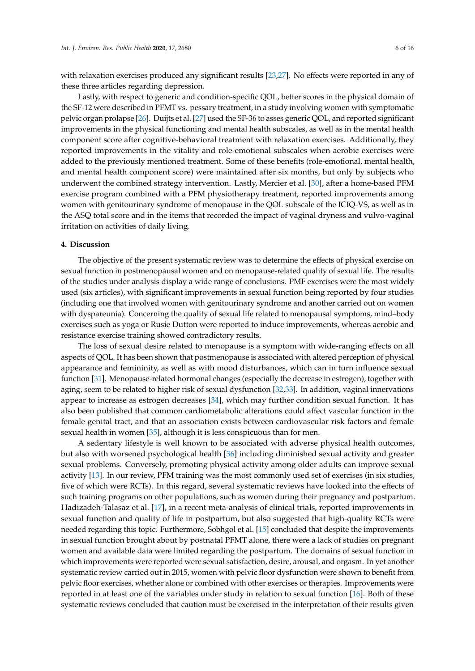with relaxation exercises produced any significant results [\[23,](#page-14-5)[27\]](#page-14-1). No effects were reported in any of these three articles regarding depression.

Lastly, with respect to generic and condition-specific QOL, better scores in the physical domain of the SF-12 were described in PFMT vs. pessary treatment, in a study involving women with symptomatic pelvic organ prolapse [\[26\]](#page-14-4). Duijts et al. [\[27\]](#page-14-1) used the SF-36 to asses generic QOL, and reported significant improvements in the physical functioning and mental health subscales, as well as in the mental health component score after cognitive-behavioral treatment with relaxation exercises. Additionally, they reported improvements in the vitality and role-emotional subscales when aerobic exercises were added to the previously mentioned treatment. Some of these benefits (role-emotional, mental health, and mental health component score) were maintained after six months, but only by subjects who underwent the combined strategy intervention. Lastly, Mercier et al. [\[30\]](#page-14-9), after a home-based PFM exercise program combined with a PFM physiotherapy treatment, reported improvements among women with genitourinary syndrome of menopause in the QOL subscale of the ICIQ-VS, as well as in the ASQ total score and in the items that recorded the impact of vaginal dryness and vulvo-vaginal irritation on activities of daily living.

## **4. Discussion**

The objective of the present systematic review was to determine the effects of physical exercise on sexual function in postmenopausal women and on menopause-related quality of sexual life. The results of the studies under analysis display a wide range of conclusions. PMF exercises were the most widely used (six articles), with significant improvements in sexual function being reported by four studies (including one that involved women with genitourinary syndrome and another carried out on women with dyspareunia). Concerning the quality of sexual life related to menopausal symptoms, mind–body exercises such as yoga or Rusie Dutton were reported to induce improvements, whereas aerobic and resistance exercise training showed contradictory results.

The loss of sexual desire related to menopause is a symptom with wide-ranging effects on all aspects of QOL. It has been shown that postmenopause is associated with altered perception of physical appearance and femininity, as well as with mood disturbances, which can in turn influence sexual function [\[31\]](#page-14-11). Menopause-related hormonal changes (especially the decrease in estrogen), together with aging, seem to be related to higher risk of sexual dysfunction [\[32,](#page-14-12)[33\]](#page-14-13). In addition, vaginal innervations appear to increase as estrogen decreases [\[34\]](#page-14-14), which may further condition sexual function. It has also been published that common cardiometabolic alterations could affect vascular function in the female genital tract, and that an association exists between cardiovascular risk factors and female sexual health in women [\[35\]](#page-14-15), although it is less conspicuous than for men.

A sedentary lifestyle is well known to be associated with adverse physical health outcomes, but also with worsened psychological health [\[36\]](#page-14-16) including diminished sexual activity and greater sexual problems. Conversely, promoting physical activity among older adults can improve sexual activity [\[13\]](#page-13-12). In our review, PFM training was the most commonly used set of exercises (in six studies, five of which were RCTs). In this regard, several systematic reviews have looked into the effects of such training programs on other populations, such as women during their pregnancy and postpartum. Hadizadeh-Talasaz et al. [\[17\]](#page-13-15), in a recent meta-analysis of clinical trials, reported improvements in sexual function and quality of life in postpartum, but also suggested that high-quality RCTs were needed regarding this topic. Furthermore, Sobhgol et al. [\[15\]](#page-13-14) concluded that despite the improvements in sexual function brought about by postnatal PFMT alone, there were a lack of studies on pregnant women and available data were limited regarding the postpartum. The domains of sexual function in which improvements were reported were sexual satisfaction, desire, arousal, and orgasm. In yet another systematic review carried out in 2015, women with pelvic floor dysfunction were shown to benefit from pelvic floor exercises, whether alone or combined with other exercises or therapies. Improvements were reported in at least one of the variables under study in relation to sexual function [\[16\]](#page-13-18). Both of these systematic reviews concluded that caution must be exercised in the interpretation of their results given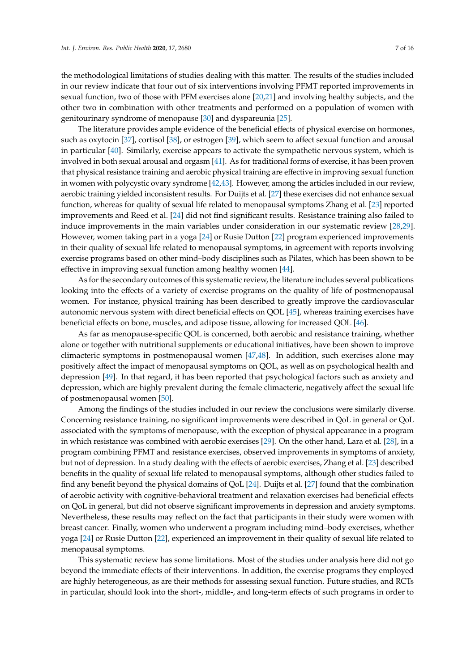the methodological limitations of studies dealing with this matter. The results of the studies included in our review indicate that four out of six interventions involving PFMT reported improvements in sexual function, two of those with PFM exercises alone [\[20](#page-14-0)[,21\]](#page-14-3) and involving healthy subjects, and the other two in combination with other treatments and performed on a population of women with genitourinary syndrome of menopause [\[30\]](#page-14-9) and dyspareunia [\[25\]](#page-14-2).

The literature provides ample evidence of the beneficial effects of physical exercise on hormones, such as oxytocin [\[37\]](#page-14-17), cortisol [\[38\]](#page-15-0), or estrogen [\[39\]](#page-15-1), which seem to affect sexual function and arousal in particular [\[40\]](#page-15-2). Similarly, exercise appears to activate the sympathetic nervous system, which is involved in both sexual arousal and orgasm [\[41\]](#page-15-3). As for traditional forms of exercise, it has been proven that physical resistance training and aerobic physical training are effective in improving sexual function in women with polycystic ovary syndrome [\[42,](#page-15-4)[43\]](#page-15-5). However, among the articles included in our review, aerobic training yielded inconsistent results. For Duijts et al. [\[27\]](#page-14-1) these exercises did not enhance sexual function, whereas for quality of sexual life related to menopausal symptoms Zhang et al. [\[23\]](#page-14-5) reported improvements and Reed et al. [\[24\]](#page-14-6) did not find significant results. Resistance training also failed to induce improvements in the main variables under consideration in our systematic review [\[28,](#page-14-8)[29\]](#page-14-10). However, women taking part in a yoga [\[24\]](#page-14-6) or Rusie Dutton [\[22\]](#page-14-7) program experienced improvements in their quality of sexual life related to menopausal symptoms, in agreement with reports involving exercise programs based on other mind–body disciplines such as Pilates, which has been shown to be effective in improving sexual function among healthy women [\[44\]](#page-15-6).

As for the secondary outcomes of this systematic review, the literature includes several publications looking into the effects of a variety of exercise programs on the quality of life of postmenopausal women. For instance, physical training has been described to greatly improve the cardiovascular autonomic nervous system with direct beneficial effects on QOL [\[45\]](#page-15-7), whereas training exercises have beneficial effects on bone, muscles, and adipose tissue, allowing for increased QOL [\[46\]](#page-15-8).

As far as menopause-specific QOL is concerned, both aerobic and resistance training, whether alone or together with nutritional supplements or educational initiatives, have been shown to improve climacteric symptoms in postmenopausal women [\[47,](#page-15-9)[48\]](#page-15-10). In addition, such exercises alone may positively affect the impact of menopausal symptoms on QOL, as well as on psychological health and depression [\[49\]](#page-15-11). In that regard, it has been reported that psychological factors such as anxiety and depression, which are highly prevalent during the female climacteric, negatively affect the sexual life of postmenopausal women [\[50\]](#page-15-12).

Among the findings of the studies included in our review the conclusions were similarly diverse. Concerning resistance training, no significant improvements were described in QoL in general or QoL associated with the symptoms of menopause, with the exception of physical appearance in a program in which resistance was combined with aerobic exercises [\[29\]](#page-14-10). On the other hand, Lara et al. [\[28\]](#page-14-8), in a program combining PFMT and resistance exercises, observed improvements in symptoms of anxiety, but not of depression. In a study dealing with the effects of aerobic exercises, Zhang et al. [\[23\]](#page-14-5) described benefits in the quality of sexual life related to menopausal symptoms, although other studies failed to find any benefit beyond the physical domains of QoL [\[24\]](#page-14-6). Duijts et al. [\[27\]](#page-14-1) found that the combination of aerobic activity with cognitive-behavioral treatment and relaxation exercises had beneficial effects on QoL in general, but did not observe significant improvements in depression and anxiety symptoms. Nevertheless, these results may reflect on the fact that participants in their study were women with breast cancer. Finally, women who underwent a program including mind–body exercises, whether yoga [\[24\]](#page-14-6) or Rusie Dutton [\[22\]](#page-14-7), experienced an improvement in their quality of sexual life related to menopausal symptoms.

This systematic review has some limitations. Most of the studies under analysis here did not go beyond the immediate effects of their interventions. In addition, the exercise programs they employed are highly heterogeneous, as are their methods for assessing sexual function. Future studies, and RCTs in particular, should look into the short-, middle-, and long-term effects of such programs in order to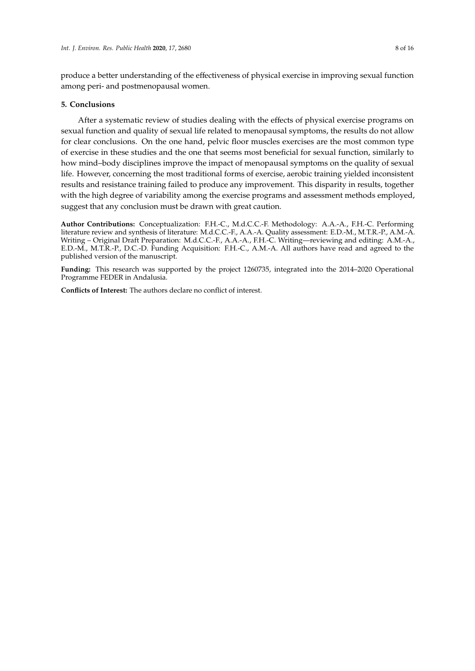produce a better understanding of the effectiveness of physical exercise in improving sexual function among peri- and postmenopausal women.

## **5. Conclusions**

After a systematic review of studies dealing with the effects of physical exercise programs on sexual function and quality of sexual life related to menopausal symptoms, the results do not allow for clear conclusions. On the one hand, pelvic floor muscles exercises are the most common type of exercise in these studies and the one that seems most beneficial for sexual function, similarly to how mind–body disciplines improve the impact of menopausal symptoms on the quality of sexual life. However, concerning the most traditional forms of exercise, aerobic training yielded inconsistent results and resistance training failed to produce any improvement. This disparity in results, together with the high degree of variability among the exercise programs and assessment methods employed, suggest that any conclusion must be drawn with great caution.

**Author Contributions:** Conceptualization: F.H.-C., M.d.C.C.-F. Methodology: A.A.-A., F.H.-C. Performing literature review and synthesis of literature: M.d.C.C.-F., A.A.-A. Quality assessment: E.D.-M., M.T.R.-P., A.M.-A. Writing – Original Draft Preparation: M.d.C.C.-F., A.A.-A., F.H.-C. Writing—reviewing and editing: A.M.-A., E.D.-M., M.T.R.-P., D.C.-D. Funding Acquisition: F.H.-C., A.M.-A. All authors have read and agreed to the published version of the manuscript.

**Funding:** This research was supported by the project 1260735, integrated into the 2014–2020 Operational Programme FEDER in Andalusia.

**Conflicts of Interest:** The authors declare no conflict of interest.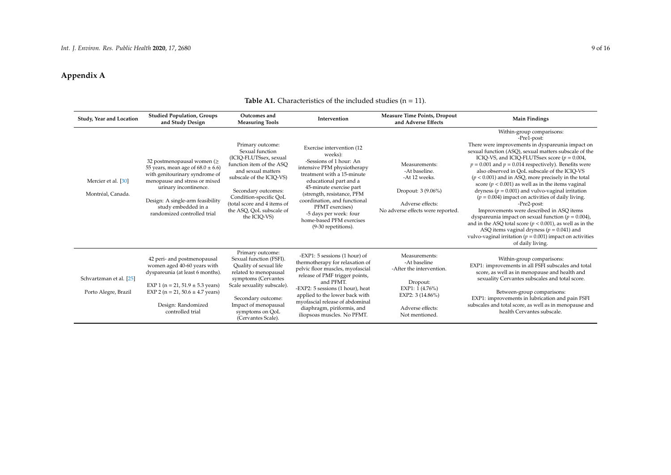# **Appendix A**

<span id="page-8-0"></span>

| Study, Year and Location                        | <b>Studied Population, Groups</b><br>and Study Design                                                                                                                                                                                                            | Outcomes and<br><b>Measuring Tools</b>                                                                                                                                                                                                                                  | Intervention                                                                                                                                                                                                                                                                                                                                     | <b>Measure Time Points, Dropout</b><br>and Adverse Effects                                                                                           | <b>Main Findings</b>                                                                                                                                                                                                                                                                                                                                                                                                                                                                                                                                                                                                                                                                                                                                                                                                                                                               |
|-------------------------------------------------|------------------------------------------------------------------------------------------------------------------------------------------------------------------------------------------------------------------------------------------------------------------|-------------------------------------------------------------------------------------------------------------------------------------------------------------------------------------------------------------------------------------------------------------------------|--------------------------------------------------------------------------------------------------------------------------------------------------------------------------------------------------------------------------------------------------------------------------------------------------------------------------------------------------|------------------------------------------------------------------------------------------------------------------------------------------------------|------------------------------------------------------------------------------------------------------------------------------------------------------------------------------------------------------------------------------------------------------------------------------------------------------------------------------------------------------------------------------------------------------------------------------------------------------------------------------------------------------------------------------------------------------------------------------------------------------------------------------------------------------------------------------------------------------------------------------------------------------------------------------------------------------------------------------------------------------------------------------------|
| Mercier et al. [30]<br>Montréal, Canada.        | 32 postmenopausal women ( $\geq$<br>55 years, mean age of $68.0 \pm 6.6$ )<br>with genitourinary syndrome of<br>menopause and stress or mixed<br>urinary incontinence.<br>Design: A single-arm feasibility<br>study embedded in a<br>randomized controlled trial | Primary outcome:<br>Sexual function<br>(ICIO-FLUTSsex, sexual<br>function item of the ASO<br>and sexual matters<br>subscale of the ICIQ-VS)<br>Secondary outcomes:<br>Condition-specific QoL<br>(total score and 4 items of<br>the ASQ, QoL subscale of<br>the ICIO-VS) | Exercise intervention (12)<br>weeks):<br>-Sessions of 1 hour: An<br>intensive PFM physiotherapy<br>treatment with a 15-minute<br>educational part and a<br>45-minute exercise part<br>(strength, resistance, PFM<br>coordination, and functional<br>PFMT exercises)<br>-5 days per week: four<br>home-based PFM exercises<br>(9-30 repetitions). | Measurements:<br>-At baseline.<br>-At 12 weeks.<br>Dropout: 3 (9.06%)<br>Adverse effects:<br>No adverse effects were reported.                       | Within-group comparisons:<br>-Pre1-post:<br>There were improvements in dyspareunia impact on<br>sexual function (ASQ), sexual matters subscale of the<br>ICIQ-VS, and ICIQ-FLUTSsex score ( $p = 0.004$ ,<br>$p = 0.001$ and $p = 0.014$ respectively). Benefits were<br>also observed in OoL subscale of the ICIO-VS<br>$(p < 0.001)$ and in ASQ, more precisely in the total<br>score ( $p < 0.001$ ) as well as in the items vaginal<br>dryness ( $p = 0.001$ ) and vulvo-vaginal irritation<br>$(p = 0.004)$ impact on activities of daily living.<br>-Pre2-post:<br>Improvements were described in ASQ items<br>dyspareunia impact on sexual function ( $p = 0.004$ ),<br>and in the ASQ total score ( $p < 0.001$ ), as well as in the<br>ASQ items vaginal dryness ( $p = 0.041$ ) and<br>vulvo-vaginal irritation ( $p = 0.001$ ) impact on activities<br>of daily living. |
| Schvartzman et al. [25]<br>Porto Alegre, Brazil | 42 peri- and postmenopausal<br>women aged 40-60 years with<br>dyspareunia (at least 6 months).<br>EXP 1 ( $n = 21$ , 51.9 $\pm$ 5.3 years)<br>EXP 2 ( $n = 21$ , 50.6 $\pm$ 4.7 years)<br>Design: Randomized<br>controlled trial                                 | Primary outcome:<br>Sexual function (FSFI).<br>Quality of sexual life<br>related to menopausal<br>symptoms (Cervantes<br>Scale sexuality subscale).<br>Secondary outcome:<br>Impact of menopausal<br>symptoms on QoL<br>(Cervantes Scale).                              | -EXP1: 5 sessions (1 hour) of<br>thermotherapy for relaxation of<br>pelvic floor muscles, myofascial<br>release of PMF trigger points,<br>and PFMT.<br>-EXP2: 5 sessions (1 hour), heat<br>applied to the lower back with<br>myofascial release of abdominal<br>diaphragm, piriformis, and<br>iliopsoas muscles. No PFMT.                        | Measurements:<br>-At baseline<br>-After the intervention.<br>Dropout:<br>EXP1: $1(4.76\%)$<br>EXP2: 3 (14.86%)<br>Adverse effects:<br>Not mentioned. | Within-group comparisons:<br>EXP1: improvements in all FSFI subscales and total<br>score, as well as in menopause and health and<br>sexuality Cervantes subscales and total score.<br>Between-group comparisons:<br>EXP1: improvements in lubrication and pain FSFI<br>subscales and total score, as well as in menopause and<br>health Cervantes subscale.                                                                                                                                                                                                                                                                                                                                                                                                                                                                                                                        |

# **Table A1.** Characteristics of the included studies  $(n = 11)$ .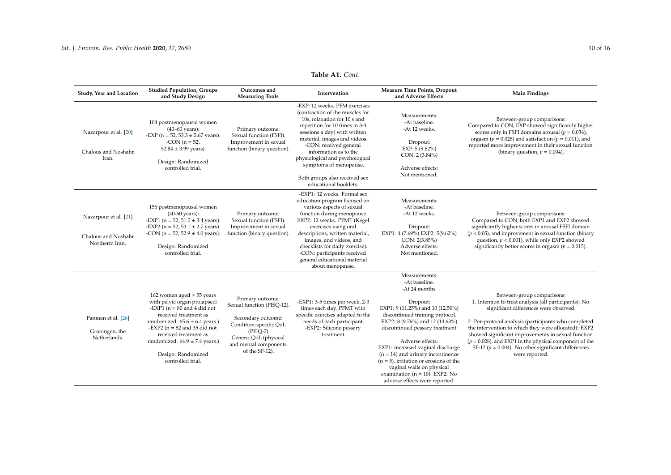| Study, Year and Location                                        | <b>Studied Population, Groups</b><br>and Study Design                                                                                                                                                                                                                                                        | Outcomes and<br><b>Measuring Tools</b>                                                                                                                                           | Intervention                                                                                                                                                                                                                                                                                                                                                                 | Measure Time Points, Dropout<br>and Adverse Effects                                                                                                                                                                                                                                                                                                                                                                                                       | <b>Main Findings</b>                                                                                                                                                                                                                                                                                                                                                                                                                          |
|-----------------------------------------------------------------|--------------------------------------------------------------------------------------------------------------------------------------------------------------------------------------------------------------------------------------------------------------------------------------------------------------|----------------------------------------------------------------------------------------------------------------------------------------------------------------------------------|------------------------------------------------------------------------------------------------------------------------------------------------------------------------------------------------------------------------------------------------------------------------------------------------------------------------------------------------------------------------------|-----------------------------------------------------------------------------------------------------------------------------------------------------------------------------------------------------------------------------------------------------------------------------------------------------------------------------------------------------------------------------------------------------------------------------------------------------------|-----------------------------------------------------------------------------------------------------------------------------------------------------------------------------------------------------------------------------------------------------------------------------------------------------------------------------------------------------------------------------------------------------------------------------------------------|
| Nazarpour et al. [20]<br>Chalous and Noshahr,<br>Iran.          | 104 postmenopausal women<br>$(40 - 60$ years):<br>-EXP ( $n = 52$ , $53.3 \pm 2.67$ years).<br>-CON $(n = 52,$<br>$52.84 \pm 3.99$ years).<br>Design: Randomized<br>controlled trial.                                                                                                                        | Primary outcome:<br>Sexual function (FSFI).<br>Improvement in sexual<br>function (binary question).                                                                              | -EXP: 12 weeks. PFM exercises<br>(contraction of the muscles for<br>10s, relaxation for 10 s and<br>repetition for 10 times in 3-4<br>sessions a day) with written<br>material, images and videos.<br>-CON: received general<br>information as to the<br>physiological and psychological<br>symptoms of menopause.<br>Both groups also received sex<br>educational booklets. | Measurements:<br>-At baseline.<br>-At 12 weeks.<br>Dropout:<br>EXP: $5(9.62\%)$<br>CON: 2 (3.84%)<br>Adverse effects:<br>Not mentioned.                                                                                                                                                                                                                                                                                                                   | Between-group comparisons:<br>Compared to CON, EXP showed significantly higher<br>scores only in FSFI domains arousal ( $p = 0.034$ ),<br>orgasm ( $p = 0.028$ ) and satisfaction ( $p = 0.011$ ), and<br>reported more improvement in their sexual function<br>(binary question, $p = 0.004$ ).                                                                                                                                              |
| Nazarpour et al. [21]<br>Chalous and Noshahr.<br>Northerm Iran. | 156 postmenopausal women<br>$(40-60 \text{ years})$ :<br>-EXP1 ( $n = 52$ , $51.5 \pm 3.4$ years).<br>-EXP2 ( $n = 52$ , $53.1 \pm 2.7$ years).<br>-CON ( $n = 52$ , $52.9 \pm 4.0$ years).<br>Design: Randomized<br>controlled trial.                                                                       | Primary outcome:<br>Sexual function (FSFI).<br>Improvement in sexual<br>function (binary question).                                                                              | -EXP1: 12 weeks. Formal sex<br>education program focused on<br>various aspects of sexual<br>function during menopause.<br>EXP2: 12 weeks. PFMT (Kegel<br>exercises using oral<br>descriptions, written material,<br>images, and videos, and<br>checklists for daily exercise).<br>-CON: participants received<br>general educational material<br>about menopause.            | Measurements:<br>-At baseline.<br>-At 12 weeks.<br>Dropout:<br>EXP1: 4 (7.69%) EXP2: 5(9.62%)<br>CON: 2(3.85%)<br>Adverse effects:<br>Not mentioned.                                                                                                                                                                                                                                                                                                      | Between-group comparisons:<br>Compared to CON, both EXP1 and EXP2 showed<br>significantly higher scores in arousal FSFI domain<br>$(p < 0.05)$ , and improvement in sexual function (binary<br>question, $p < 0.001$ ), while only EXP2 showed<br>significantly better scores in orgasm ( $p = 0.015$ ).                                                                                                                                      |
| Panman et al. [26]<br>Groningen, the<br>Netherlands.            | 162 women aged $\geq$ 55 years<br>with pelvic organ prolapsed:<br>-EXP1 ( $n = 80$ and 4 did not<br>received treatment as<br>randomized. $65.6 \pm 6.4$ years.)<br>-EXP2 ( $n = 82$ and 35 did not<br>received treatment as<br>randomized. $64.9 \pm 7.4$ years.)<br>Design: Randomized<br>controlled trial. | Primary outcome:<br>Sexual function (PISQ-12).<br>Secondary outcome:<br>Condition-specific QoL<br>$(PFIQ-7)$<br>Generic QoL (physical<br>and mental components<br>of the SF-12). | -EXP1: 3-5 times per week, 2-3<br>times each day. PFMT with<br>specific exercises adapted to the<br>needs of each participant.<br>-EXP2: Silicone pessary<br>treatment.                                                                                                                                                                                                      | Measurements:<br>-At baseline.<br>-At 24 months<br>Dropout:<br>EXP1: 9 (11.25%) and 10 (12.50%)<br>discontinued training protocol.<br>EXP2: 8 (9.76%) and 12 (14.63%)<br>discontinued pessary treatment<br>Adverse effects:<br>EXP1: increased vaginal discharge<br>$(n = 14)$ and urinary incontinence<br>$(n = 5)$ , irritation or erosions of the<br>vaginal walls on physical<br>examination ( $n = 10$ ). EXP2: No<br>adverse effects were reported. | Between-group comparisons:<br>1. Intention to treat analysis (all participants): No<br>significant differences were observed.<br>2. Per-protocol analysis (participants who completed<br>the intervention to which they were allocated): EXP2<br>showed significant improvements in sexual function<br>$(p = 0.028)$ , and EXP1 in the physical component of the<br>SF-12 ( $p = 0.004$ ). No other significant differences<br>were reported. |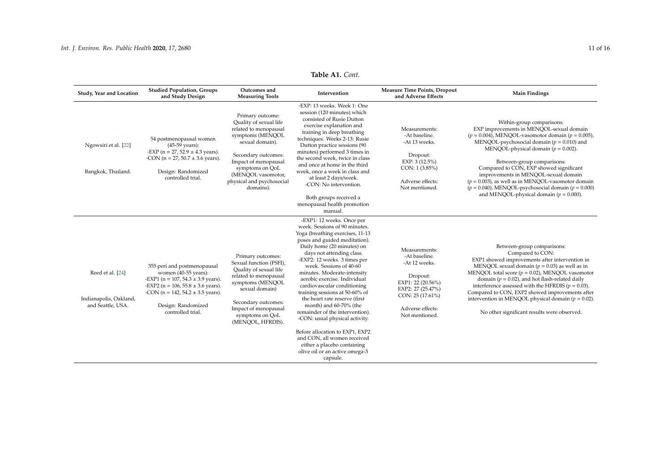| Study, Year and Location                                        | <b>Studied Population, Groups</b><br>and Study Design                                                                                                                                                                                     | Outcomes and<br><b>Measuring Tools</b>                                                                                                                                                                                                       | Intervention                                                                                                                                                                                                                                                                                                                                                                                                                                                                                                                                                                                                                                                         | <b>Measure Time Points, Dropout</b><br>and Adverse Effects                                                                                                      | <b>Main Findings</b>                                                                                                                                                                                                                                                                                                                                                                                                                                                                                               |
|-----------------------------------------------------------------|-------------------------------------------------------------------------------------------------------------------------------------------------------------------------------------------------------------------------------------------|----------------------------------------------------------------------------------------------------------------------------------------------------------------------------------------------------------------------------------------------|----------------------------------------------------------------------------------------------------------------------------------------------------------------------------------------------------------------------------------------------------------------------------------------------------------------------------------------------------------------------------------------------------------------------------------------------------------------------------------------------------------------------------------------------------------------------------------------------------------------------------------------------------------------------|-----------------------------------------------------------------------------------------------------------------------------------------------------------------|--------------------------------------------------------------------------------------------------------------------------------------------------------------------------------------------------------------------------------------------------------------------------------------------------------------------------------------------------------------------------------------------------------------------------------------------------------------------------------------------------------------------|
| Ngowsiri et al. [22]<br>Bangkok, Thailand.                      | 54 postmenopausal women<br>$(45-59 \text{ years})$ :<br>-EXP ( $n = 27$ , 52.9 $\pm$ 4.3 years).<br>-CON ( $n = 27$ , 50.7 $\pm$ 3.6 years).<br>Design: Randomized<br>controlled trial.                                                   | Primary outcome:<br>Quality of sexual life<br>related to menopausal<br>symptoms (MENQOL<br>sexual domain).<br>Secondary outcomes:<br>Impact of menopausal<br>symptoms on QoL<br>(MENOOL vasomotor,<br>physical and psychosocial<br>domains). | -EXP: 13 weeks. Week 1: One<br>session (120 minutes) which<br>consisted of Rusie Dutton<br>exercise explanation and<br>training in deep breathing<br>techniques. Weeks 2-13: Rusie<br>Dutton practice sessions (90<br>minutes) performed 3 times in<br>the second week, twice in class<br>and once at home in the third<br>week, once a week in class and<br>at least 2 days/week.<br>-CON: No intervention.<br>Both groups received a<br>menopausal health promotion<br>manual.                                                                                                                                                                                     | Measurements:<br>-At baseline.<br>-At 13 weeks.<br>Dropout:<br>EXP: 3(12.5%)<br>CON: 1 (3.85%)<br>Adverse effects:<br>Not mentioned.                            | Within-group comparisons:<br>EXP improvements in MENQOL-sexual domain<br>$(p = 0.004)$ , MENQOL-vasomotor domain $(p = 0.005)$ ,<br>MENQOL-psychosocial domain ( $p = 0.010$ ) and<br>MENQOL-physical domain ( $p = 0.002$ ).<br>Between-group comparisons:<br>Compared to CON, EXP showed significant<br>improvements in MENQOL-sexual domain<br>$(p = 0.003)$ , as well as in MENQOL-vasomotor domain<br>$(p = 0.040)$ , MENQOL-psychosocial domain $(p = 0.000)$<br>and MENQOL-physical domain ( $p = 0.000$ ). |
| Reed et al. [24]<br>Indianapolis, Oakland,<br>and Seattle, USA. | 355 peri and postmenopausal<br>women $(40-55$ years):<br>-EXP1 ( $n = 107$ , 54.3 $\pm$ 3.9 years).<br>-EXP2 ( $n = 106$ , $55.8 \pm 3.6$ years).<br>-CON ( $n = 142$ , $54.2 \pm 3.5$ years).<br>Design: Randomized<br>controlled trial. | Primary outcomes:<br>Sexual function (FSFI),<br>Quality of sexual life<br>related to menopausal<br>symptoms (MENQOL<br>sexual domain)<br>Secondary outcomes:<br>Impact of menopausal<br>symptoms on QoL<br>(MENQOL, HFRDIS).                 | -EXP1: 12 weeks. Once per<br>week. Sessions of 90 minutes.<br>Yoga (breathing exercises, 11-13<br>poses and guided meditation).<br>Daily home (20 minutes) on<br>days not attending class.<br>-EXP2: 12 weeks. 3 times per<br>week. Sessions of 40-60<br>minutes. Moderate-intensity<br>aerobic exercise. Individual<br>cardiovascular conditioning<br>training sessions at 50-60% of<br>the heart rate reserve (first<br>month) and 60-70% (the<br>remainder of the intervention).<br>-CON: usual physical activity.<br>Before allocation to EXP1, EXP2<br>and CON, all women received<br>either a placebo containing<br>olive oil or an active omega-3<br>capsule. | Measurements:<br>-At baseline.<br>-At 12 weeks.<br>Dropout:<br>EXP1: 22 (20.56%)<br>EXP2: 27 (25.47%)<br>CON: 25 (17.61%)<br>Adverse effects:<br>Not mentioned. | Between-group comparisons:<br>Compared to CON:<br>EXP1 showed improvements after intervention in<br>MENQOL sexual domain ( $p = 0.03$ ) as well as in<br>MENQOL total score ( $p = 0.02$ ), MENQOL vasomotor<br>domain ( $p = 0.02$ ), and hot flash-related daily<br>interference assessed with the HFRDIS ( $p = 0.03$ ).<br>Compared to CON, EXP2 showed improvements after<br>intervention in MENQOL physical domain ( $p = 0.02$ ).<br>No other significant results were observed.                            |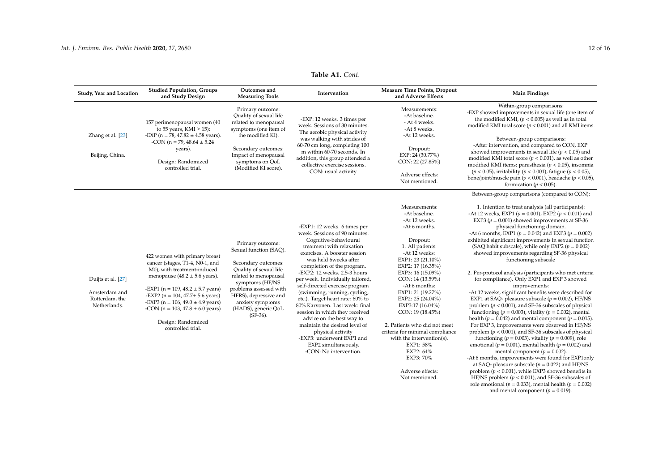| Study, Year and Location                                              | <b>Studied Population, Groups</b><br>and Study Design                                                                                                                                                                                                                                                                                                      | Outcomes and<br><b>Measuring Tools</b>                                                                                                                                                                                                               | Intervention                                                                                                                                                                                                                                                                                                                                                                                                                                                                                                                                                                                                               | <b>Measure Time Points, Dropout</b><br>and Adverse Effects                                                                                                                                                                                                                                                                                                                                                                                                                           | <b>Main Findings</b>                                                                                                                                                                                                                                                                                                                                                                                                                                                                                                                                                                                                                                                                                                                                                                                                                                                                                                                                                                                                                                                                                                                                                                                                                                                                                                                                                                                                                                                                                                                                                                   |
|-----------------------------------------------------------------------|------------------------------------------------------------------------------------------------------------------------------------------------------------------------------------------------------------------------------------------------------------------------------------------------------------------------------------------------------------|------------------------------------------------------------------------------------------------------------------------------------------------------------------------------------------------------------------------------------------------------|----------------------------------------------------------------------------------------------------------------------------------------------------------------------------------------------------------------------------------------------------------------------------------------------------------------------------------------------------------------------------------------------------------------------------------------------------------------------------------------------------------------------------------------------------------------------------------------------------------------------------|--------------------------------------------------------------------------------------------------------------------------------------------------------------------------------------------------------------------------------------------------------------------------------------------------------------------------------------------------------------------------------------------------------------------------------------------------------------------------------------|----------------------------------------------------------------------------------------------------------------------------------------------------------------------------------------------------------------------------------------------------------------------------------------------------------------------------------------------------------------------------------------------------------------------------------------------------------------------------------------------------------------------------------------------------------------------------------------------------------------------------------------------------------------------------------------------------------------------------------------------------------------------------------------------------------------------------------------------------------------------------------------------------------------------------------------------------------------------------------------------------------------------------------------------------------------------------------------------------------------------------------------------------------------------------------------------------------------------------------------------------------------------------------------------------------------------------------------------------------------------------------------------------------------------------------------------------------------------------------------------------------------------------------------------------------------------------------------|
| Zhang et al. [23]<br>Beijing, China.                                  | 157 perimenopausal women (40<br>to 55 years, KMI $\geq$ 15):<br>-EXP (n = 78, 47.82 $\pm$ 4.58 years).<br>-CON (n = 79, 48.64 $\pm$ 5.24<br>years).<br>Design: Randomized<br>controlled trial.                                                                                                                                                             | Primary outcome:<br>Quality of sexual life<br>related to menopausal<br>symptoms (one item of<br>the modified KI).<br>Secondary outcomes:<br>Impact of menopausal<br>symptoms on QoL<br>(Modified KI score).                                          | -EXP: 12 weeks. 3 times per<br>week. Sessions of 30 minutes.<br>The aerobic physical activity<br>was walking with strides of<br>60-70 cm long, completing 100<br>m within 60-70 seconds. In<br>addition, this group attended a<br>collective exercise sessions.<br>CON: usual activity                                                                                                                                                                                                                                                                                                                                     | Measurements:<br>-At baseline.<br>- At 4 weeks.<br>-At 8 weeks.<br>-At 12 weeks.<br>Dropout:<br>EXP: 24 (30.77%)<br>CON: 22 (27.85%)<br>Adverse effects:<br>Not mentioned.                                                                                                                                                                                                                                                                                                           | Within-group comparisons:<br>-EXP showed improvements in sexual life (one item of<br>the modified KMI, ( $p < 0.005$ ) as well as in total<br>modified KMI total score ( $p < 0.001$ ) and all KMI items.<br>Between-group comparisons:<br>-After intervention, and compared to CON, EXP<br>showed improvements in sexual life ( $p < 0.05$ ) and<br>modified KMI total score ( $p < 0.001$ ), as well as other<br>modified KMI items: paresthesia ( $p < 0.05$ ), insomnia<br>$(p < 0.05)$ , irritability $(p < 0.001)$ , fatigue $(p < 0.05)$ ,<br>bone/joint/muscle pain ( $p < 0.001$ ), headache ( $p < 0.05$ ),<br>formication ( $p < 0.05$ ).                                                                                                                                                                                                                                                                                                                                                                                                                                                                                                                                                                                                                                                                                                                                                                                                                                                                                                                                   |
| Duijts et al. [27]<br>Amsterdam and<br>Rotterdam, the<br>Netherlands. | 422 women with primary breast<br>cancer (stages, T1-4, N0-1, and<br>M0), with treatment-induced<br>menopause (48.2 $\pm$ 5.6 years).<br>-EXP1 (n = 109, 48.2 $\pm$ 5.7 years)<br>-EXP2 ( $n = 104$ , $47.7 \pm 5.6$ years)<br>-EXP3 (n = 106, 49.0 $\pm$ 4.9 years)<br>-CON ( $n = 103$ , $47.8 \pm 6.0$ years)<br>Design: Randomized<br>controlled trial. | Primary outcome:<br>Sexual function (SAQ).<br>Secondary outcomes:<br>Quality of sexual life<br>related to menopausal<br>symptoms (HF/NS<br>problems assessed with<br>HFRS), depressive and<br>anxiety symptoms<br>(HADS), generic QoL<br>$(SF-36)$ . | -EXP1: 12 weeks. 6 times per<br>week. Sessions of 90 minutes.<br>Cognitive-behavioural<br>treatment with relaxation<br>exercises. A booster session<br>was held 6weeks after<br>completion of the program.<br>-EXP2: 12 weeks. 2.5-3 hours<br>per week. Individually tailored,<br>self-directed exercise program<br>(swimming, running, cycling,<br>etc.). Target heart rate: 60% to<br>80% Karvonen. Last week: final<br>session in which they received<br>advice on the best way to<br>maintain the desired level of<br>physical activity<br>-EXP3: underwent EXP1 and<br>EXP2 simultaneously.<br>-CON: No intervention. | Measurements:<br>-At baseline.<br>-At 12 weeks.<br>-At 6 months.<br>Dropout:<br>1. All patients:<br>-At 12 weeks:<br>EXP1: 23 (21.10%)<br>EXP2: 17 (16.35%)<br>EXP3: 16 (15.09%)<br>CON: 14 (13.59%)<br>-At 6 months:<br>EXP1: 21 (19.27%)<br>EXP2: 25 (24.04%)<br>EXP3:17 (16.04%)<br>CON: 19 (18.45%)<br>2. Patients who did not meet<br>criteria for minimal compliance<br>with the intervention(s).<br>EXP1: 58%<br>EXP2: 64%<br>EXP3: 70%<br>Adverse effects:<br>Not mentioned. | Between-group comparisons (compared to CON):<br>1. Intention to treat analysis (all participants):<br>-At 12 weeks, EXP1 ( $p = 0.001$ ), EXP2 ( $p < 0.001$ ) and<br>EXP3 ( $p = 0.001$ ) showed improvements at SF-36<br>physical functioning domain.<br>-At 6 months, EXP1 ( $p = 0.042$ ) and EXP3 ( $p = 0.002$ )<br>exhibited significant improvements in sexual function<br>(SAQ habit subscale), while only EXP2 ( $p = 0.002$ )<br>showed improvements regarding SF-36 physical<br>functioning subscale<br>2. Per-protocol analysis (participants who met criteria<br>for compliance). Only EXP1 and EXP 3 showed<br>improvements:<br>-At 12 weeks, significant benefits were described for<br>EXP1 at SAQ- pleasure subscale ( $p = 0.002$ ), HF/NS<br>problem ( $p < 0.001$ ), and SF-36 subscales of physical<br>functioning ( $p = 0.003$ ), vitality ( $p = 0.002$ ), mental<br>health ( $p = 0.042$ ) and mental component ( $p = 0.015$ ).<br>For EXP 3, improvements were observed in HF/NS<br>problem ( $p < 0.001$ ), and SF-36 subscales of physical<br>functioning ( $p = 0.003$ ), vitality ( $p = 0.009$ ), role<br>emotional ( $p = 0.001$ ), mental health ( $p = 0.002$ ) and<br>mental component ( $p = 0.002$ ).<br>-At 6 months, improvements were found for EXP1only<br>at SAQ- pleasure subscale ( $p = 0.022$ ) and HF/NS<br>problem ( $p < 0.001$ ), while EXP3 showed benefits in<br>HF/NS problem ( $p < 0.001$ ), and SF-36 subscales of<br>role emotional ( $p = 0.033$ ), mental health ( $p = 0.002$ )<br>and mental component ( $p = 0.019$ ). |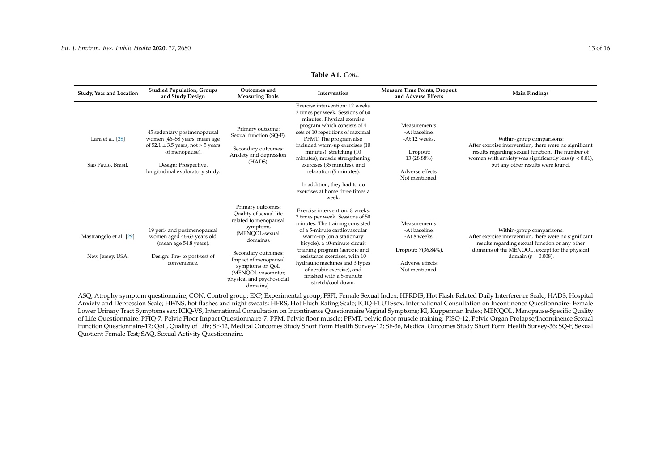| Study, Year and Location                    | <b>Studied Population, Groups</b><br>and Study Design                                                                                                                                | Outcomes and<br><b>Measuring Tools</b>                                                                                                                                                                                                            | Intervention                                                                                                                                                                                                                                                                                                                                                                                                                          | <b>Measure Time Points, Dropout</b><br>and Adverse Effects                                                       | <b>Main Findings</b>                                                                                                                                                                                                                      |
|---------------------------------------------|--------------------------------------------------------------------------------------------------------------------------------------------------------------------------------------|---------------------------------------------------------------------------------------------------------------------------------------------------------------------------------------------------------------------------------------------------|---------------------------------------------------------------------------------------------------------------------------------------------------------------------------------------------------------------------------------------------------------------------------------------------------------------------------------------------------------------------------------------------------------------------------------------|------------------------------------------------------------------------------------------------------------------|-------------------------------------------------------------------------------------------------------------------------------------------------------------------------------------------------------------------------------------------|
| Lara et al. [28]<br>São Paulo, Brasil.      | 45 sedentary postmenopausal<br>women (46-58 years, mean age<br>of $52.1 \pm 3.5$ years, not $> 5$ years<br>of menopause).<br>Design: Prospective,<br>longitudinal exploratory study. | Primary outcome:<br>Sexual function (SQ-F).<br>Secondary outcomes:<br>Anxiety and depression<br>(HADS).                                                                                                                                           | Exercise intervention: 12 weeks.<br>2 times per week. Sessions of 60<br>minutes. Physical exercise<br>program which consists of 4<br>sets of 10 repetitions of maximal<br>PFMT. The program also<br>included warm-up exercises (10<br>minutes), stretching (10<br>minutes), muscle strengthening<br>exercises (35 minutes), and<br>relaxation (5 minutes).<br>In addition, they had to do<br>exercises at home three times a<br>week. | Measurements:<br>-At baseline.<br>-At 12 weeks.<br>Dropout:<br>13 (28.88%)<br>Adverse effects:<br>Not mentioned. | Within-group comparisons:<br>After exercise intervention, there were no significant<br>results regarding sexual function. The number of<br>women with anxiety was significantly less ( $p < 0.01$ ),<br>but any other results were found. |
| Mastrangelo et al. [29]<br>New Jersey, USA. | 19 peri- and postmenopausal<br>women aged 46-63 years old<br>(mean age 54.8 years).<br>Design: Pre- to post-test of<br>convenience.                                                  | Primary outcomes:<br>Quality of sexual life<br>related to menopausal<br>symptoms<br>(MENOOL-sexual<br>domains).<br>Secondary outcomes:<br>Impact of menopausal<br>symptoms on QoL<br>(MENQOL vasomotor,<br>physical and psychosocial<br>domains). | Exercise intervention: 8 weeks.<br>2 times per week. Sessions of 50<br>minutes. The training consisted<br>of a 5-minute cardiovascular<br>warm-up (on a stationary<br>bicycle), a 40-minute circuit<br>training program (aerobic and<br>resistance exercises, with 10<br>hydraulic machines and 3 types<br>of aerobic exercise), and<br>finished with a 5-minute<br>stretch/cool down.                                                | Measurements:<br>-At baseline.<br>-At 8 weeks.<br>Dropout: 7(36.84%).<br>Adverse effects:<br>Not mentioned.      | Within-group comparisons:<br>After exercise intervention, there were no significant<br>results regarding sexual function or any other<br>domains of the MENQOL, except for the physical<br>domain ( $p = 0.008$ ).                        |

<span id="page-12-0"></span>ASQ, Atrophy symptom questionnaire; CON, Control group; EXP, Experimental group; FSFI, Female Sexual Index; HFRDIS, Hot Flash-Related Daily Interference Scale; HADS, Hospital Anxiety and Depression Scale; HF/NS, hot flashes and night sweats; HFRS, Hot Flush Rating Scale; ICIQ-FLUTSsex, International Consultation on Incontinence Questionnaire- Female Lower Urinary Tract Symptoms sex; ICIQ-VS, International Consultation on Incontinence Questionnaire Vaginal Symptoms; KI, Kupperman Index; MENQOL, Menopause-Specific Quality of Life Questionnaire; PFIQ-7, Pelvic Floor Impact Questionnaire-7; PFM, Pelvic floor muscle; PFMT, pelvic floor muscle training; PISQ-12, Pelvic Organ Prolapse/Incontinence Sexual Function Questionnaire-12; QoL, Quality of Life; SF-12, Medical Outcomes Study Short Form Health Survey-12; SF-36, Medical Outcomes Study Short Form Health Survey-36; SQ-F, Sexual Quotient-Female Test; SAQ, Sexual Activity Questionnaire.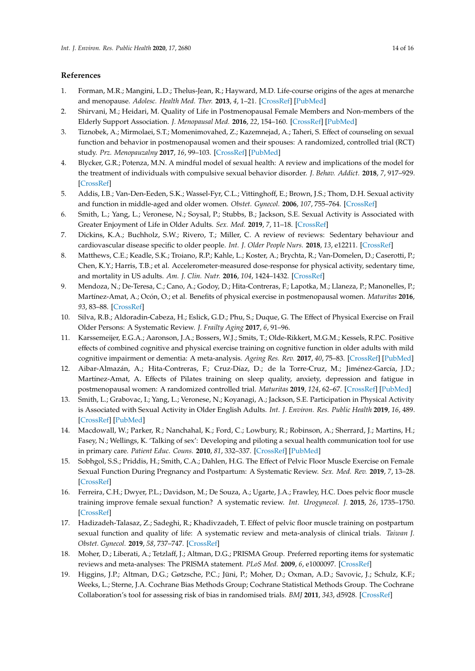# **References**

- <span id="page-13-0"></span>1. Forman, M.R.; Mangini, L.D.; Thelus-Jean, R.; Hayward, M.D. Life-course origins of the ages at menarche and menopause. *Adolesc. Health Med. Ther.* **2013**, *4*, 1–21. [\[CrossRef\]](http://dx.doi.org/10.2147/AHMT.S15946) [\[PubMed\]](http://www.ncbi.nlm.nih.gov/pubmed/24600293)
- <span id="page-13-1"></span>2. Shirvani, M.; Heidari, M. Quality of Life in Postmenopausal Female Members and Non-members of the Elderly Support Association. *J. Menopausal Med.* **2016**, *22*, 154–160. [\[CrossRef\]](http://dx.doi.org/10.6118/jmm.2016.22.3.154) [\[PubMed\]](http://www.ncbi.nlm.nih.gov/pubmed/28119895)
- <span id="page-13-2"></span>3. Tiznobek, A.; Mirmolaei, S.T.; Momenimovahed, Z.; Kazemnejad, A.; Taheri, S. Effect of counseling on sexual function and behavior in postmenopausal women and their spouses: A randomized, controlled trial (RCT) study. *Prz. Menopauzalny* **2017**, *16*, 99–103. [\[CrossRef\]](http://dx.doi.org/10.5114/pm.2017.70587) [\[PubMed\]](http://www.ncbi.nlm.nih.gov/pubmed/29507576)
- <span id="page-13-3"></span>4. Blycker, G.R.; Potenza, M.N. A mindful model of sexual health: A review and implications of the model for the treatment of individuals with compulsive sexual behavior disorder. *J. Behav. Addict.* **2018**, *7*, 917–929. [\[CrossRef\]](http://dx.doi.org/10.1556/2006.7.2018.127)
- <span id="page-13-4"></span>5. Addis, I.B.; Van-Den-Eeden, S.K.; Wassel-Fyr, C.L.; Vittinghoff, E.; Brown, J.S.; Thom, D.H. Sexual activity and function in middle-aged and older women. *Obstet. Gynecol.* **2006**, *107*, 755–764. [\[CrossRef\]](http://dx.doi.org/10.1097/01.AOG.0000202398.27428.e2)
- <span id="page-13-5"></span>6. Smith, L.; Yang, L.; Veronese, N.; Soysal, P.; Stubbs, B.; Jackson, S.E. Sexual Activity is Associated with Greater Enjoyment of Life in Older Adults. *Sex. Med.* **2019**, *7*, 11–18. [\[CrossRef\]](http://dx.doi.org/10.1016/j.esxm.2018.11.001)
- <span id="page-13-6"></span>7. Dickins, K.A.; Buchholz, S.W.; Rivero, T.; Miller, C. A review of reviews: Sedentary behaviour and cardiovascular disease specific to older people. *Int. J. Older People Nurs.* **2018**, *13*, e12211. [\[CrossRef\]](http://dx.doi.org/10.1111/opn.12211)
- <span id="page-13-7"></span>8. Matthews, C.E.; Keadle, S.K.; Troiano, R.P.; Kahle, L.; Koster, A.; Brychta, R.; Van-Domelen, D.; Caserotti, P.; Chen, K.Y.; Harris, T.B.; et al. Accelerometer-measured dose-response for physical activity, sedentary time, and mortality in US adults. *Am. J. Clin. Nutr.* **2016**, *104*, 1424–1432. [\[CrossRef\]](http://dx.doi.org/10.3945/ajcn.116.135129)
- <span id="page-13-8"></span>9. Mendoza, N.; De-Teresa, C.; Cano, A.; Godoy, D.; Hita-Contreras, F.; Lapotka, M.; Llaneza, P.; Manonelles, P.; Martínez-Amat, A.; Ocón, O.; et al. Benefits of physical exercise in postmenopausal women. *Maturitas* **2016**, *93*, 83–88. [\[CrossRef\]](http://dx.doi.org/10.1016/j.maturitas.2016.04.017)
- <span id="page-13-9"></span>10. Silva, R.B.; Aldoradin-Cabeza, H.; Eslick, G.D.; Phu, S.; Duque, G. The Effect of Physical Exercise on Frail Older Persons: A Systematic Review. *J. Frailty Aging* **2017**, *6*, 91–96.
- <span id="page-13-10"></span>11. Karssemeijer, E.G.A.; Aaronson, J.A.; Bossers, W.J.; Smits, T.; Olde-Rikkert, M.G.M.; Kessels, R.P.C. Positive effects of combined cognitive and physical exercise training on cognitive function in older adults with mild cognitive impairment or dementia: A meta-analysis. *Ageing Res. Rev.* **2017**, *40*, 75–83. [\[CrossRef\]](http://dx.doi.org/10.1016/j.arr.2017.09.003) [\[PubMed\]](http://www.ncbi.nlm.nih.gov/pubmed/28912076)
- <span id="page-13-11"></span>12. Aibar-Almazán, A.; Hita-Contreras, F.; Cruz-Díaz, D.; de la Torre-Cruz, M.; Jiménez-García, J.D.; Martínez-Amat, A. Effects of Pilates training on sleep quality, anxiety, depression and fatigue in postmenopausal women: A randomized controlled trial. *Maturitas* **2019**, *124*, 62–67. [\[CrossRef\]](http://dx.doi.org/10.1016/j.maturitas.2019.03.019) [\[PubMed\]](http://www.ncbi.nlm.nih.gov/pubmed/31097181)
- <span id="page-13-12"></span>13. Smith, L.; Grabovac, I.; Yang, L.; Veronese, N.; Koyanagi, A.; Jackson, S.E. Participation in Physical Activity is Associated with Sexual Activity in Older English Adults. *Int. J. Environ. Res. Public Health* **2019**, *16*, 489. [\[CrossRef\]](http://dx.doi.org/10.3390/ijerph16030489) [\[PubMed\]](http://www.ncbi.nlm.nih.gov/pubmed/30744068)
- <span id="page-13-13"></span>14. Macdowall, W.; Parker, R.; Nanchahal, K.; Ford, C.; Lowbury, R.; Robinson, A.; Sherrard, J.; Martins, H.; Fasey, N.; Wellings, K. 'Talking of sex': Developing and piloting a sexual health communication tool for use in primary care. *Patient Educ. Couns.* **2010**, *81*, 332–337. [\[CrossRef\]](http://dx.doi.org/10.1016/j.pec.2010.10.027) [\[PubMed\]](http://www.ncbi.nlm.nih.gov/pubmed/21094013)
- <span id="page-13-14"></span>15. Sobhgol, S.S.; Priddis, H.; Smith, C.A.; Dahlen, H.G. The Effect of Pelvic Floor Muscle Exercise on Female Sexual Function During Pregnancy and Postpartum: A Systematic Review. *Sex. Med. Rev.* **2019**, *7*, 13–28. [\[CrossRef\]](http://dx.doi.org/10.1016/j.sxmr.2018.08.002)
- <span id="page-13-18"></span>16. Ferreira, C.H.; Dwyer, P.L.; Davidson, M.; De Souza, A.; Ugarte, J.A.; Frawley, H.C. Does pelvic floor muscle training improve female sexual function? A systematic review. *Int. Urogynecol. J.* **2015**, *26*, 1735–1750. [\[CrossRef\]](http://dx.doi.org/10.1007/s00192-015-2749-y)
- <span id="page-13-15"></span>17. Hadizadeh-Talasaz, Z.; Sadeghi, R.; Khadivzadeh, T. Effect of pelvic floor muscle training on postpartum sexual function and quality of life: A systematic review and meta-analysis of clinical trials. *Taiwan J. Obstet. Gynecol.* **2019**, *58*, 737–747. [\[CrossRef\]](http://dx.doi.org/10.1016/j.tjog.2019.09.003)
- <span id="page-13-16"></span>18. Moher, D.; Liberati, A.; Tetzlaff, J.; Altman, D.G.; PRISMA Group. Preferred reporting items for systematic reviews and meta-analyses: The PRISMA statement. *PLoS Med.* **2009**, *6*, e1000097. [\[CrossRef\]](http://dx.doi.org/10.1371/journal.pmed.1000097)
- <span id="page-13-17"></span>19. Higgins, J.P.; Altman, D.G.; Gøtzsche, P.C.; Jüni, P.; Moher, D.; Oxman, A.D.; Savovic, J.; Schulz, K.F.; Weeks, L.; Sterne, J.A. Cochrane Bias Methods Group; Cochrane Statistical Methods Group. The Cochrane Collaboration's tool for assessing risk of bias in randomised trials. *BMJ* **2011**, *343*, d5928. [\[CrossRef\]](http://dx.doi.org/10.1136/bmj.d5928)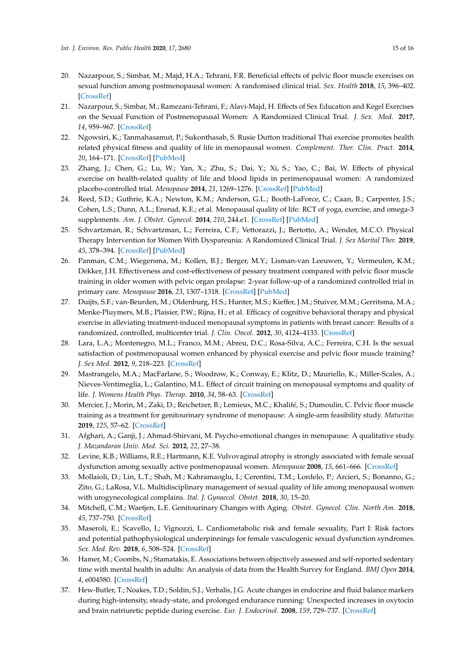- <span id="page-14-25"></span><span id="page-14-24"></span><span id="page-14-23"></span><span id="page-14-22"></span><span id="page-14-21"></span><span id="page-14-20"></span><span id="page-14-19"></span><span id="page-14-0"></span>20. Nazarpour, S.; Simbar, M.; Majd, H.A.; Tehrani, F.R. Beneficial effects of pelvic floor muscle exercises on sexual function among postmenopausal women: A randomised clinical trial. *Sex. Health* **2018**, *15*, 396–402. [\[CrossRef\]](http://dx.doi.org/10.1071/SH17203)
- <span id="page-14-26"></span><span id="page-14-3"></span>21. Nazarpour, S.; Simbar, M.; Ramezani-Tehrani, F.; Alavi-Majd, H. Effects of Sex Education and Kegel Exercises on the Sexual Function of Postmenopausal Women: A Randomized Clinical Trial. *J. Sex. Med.* **2017**, *14*, 959–967. [\[CrossRef\]](http://dx.doi.org/10.1016/j.jsxm.2017.05.006)
- <span id="page-14-27"></span><span id="page-14-7"></span>22. Ngowsiri, K.; Tanmahasamut, P.; Sukonthasab, S. Rusie Dutton traditional Thai exercise promotes health related physical fitness and quality of life in menopausal women. *Complement. Ther. Clin. Pract.* **2014**, *20*, 164–171. [\[CrossRef\]](http://dx.doi.org/10.1016/j.ctcp.2014.05.002) [\[PubMed\]](http://www.ncbi.nlm.nih.gov/pubmed/25066942)
- <span id="page-14-28"></span><span id="page-14-5"></span>23. Zhang, J.; Chen, G.; Lu, W.; Yan, X.; Zhu, S.; Dai, Y.; Xi, S.; Yao, C.; Bai, W. Effects of physical exercise on health-related quality of life and blood lipids in perimenopausal women: A randomized placebo-controlled trial. *Menopause* **2014**, *21*, 1269–1276. [\[CrossRef\]](http://dx.doi.org/10.1097/GME.0000000000000264) [\[PubMed\]](http://www.ncbi.nlm.nih.gov/pubmed/24937024)
- <span id="page-14-18"></span><span id="page-14-6"></span>24. Reed, S.D.; Guthrie, K.A.; Newton, K.M.; Anderson, G.L.; Booth-LaForce, C.; Caan, B.; Carpenter, J.S.; Cohen, L.S.; Dunn, A.L.; Ensrud, K.E.; et al. Menopausal quality of life: RCT of yoga, exercise, and omega-3 supplements. *Am. J. Obstet. Gynecol.* **2014**, *210*, 244.e1. [\[CrossRef\]](http://dx.doi.org/10.1016/j.ajog.2013.11.016) [\[PubMed\]](http://www.ncbi.nlm.nih.gov/pubmed/24215858)
- <span id="page-14-2"></span>25. Schvartzman, R.; Schvartzman, L.; Ferreira, C.F.; Vettorazzi, J.; Bertotto, A.; Wender, M.C.O. Physical Therapy Intervention for Women With Dyspareunia: A Randomized Clinical Trial. *J. Sex Marital Ther.* **2019**, *45*, 378–394. [\[CrossRef\]](http://dx.doi.org/10.1080/0092623X.2018.1549631) [\[PubMed\]](http://www.ncbi.nlm.nih.gov/pubmed/30640585)
- <span id="page-14-4"></span>26. Panman, C.M.; Wiegersma, M.; Kollen, B.J.; Berger, M.Y.; Lisman-van Leeuwen, Y.; Vermeulen, K.M.; Dekker, J.H. Effectiveness and cost-effectiveness of pessary treatment compared with pelvic floor muscle training in older women with pelvic organ prolapse: 2-year follow-up of a randomized controlled trial in primary care. *Menopause* **2016**, *23*, 1307–1318. [\[CrossRef\]](http://dx.doi.org/10.1097/GME.0000000000000706) [\[PubMed\]](http://www.ncbi.nlm.nih.gov/pubmed/27504918)
- <span id="page-14-1"></span>27. Duijts, S.F.; van-Beurden, M.; Oldenburg, H.S.; Hunter, M.S.; Kieffer, J.M.; Stuiver, M.M.; Gerritsma, M.A.; Menke-Pluymers, M.B.; Plaisier, P.W.; Rijna, H.; et al. Efficacy of cognitive behavioral therapy and physical exercise in alleviating treatment-induced menopausal symptoms in patients with breast cancer: Results of a randomized, controlled, multicenter trial. *J. Clin. Oncol.* **2012**, *30*, 4124–4133. [\[CrossRef\]](http://dx.doi.org/10.1200/JCO.2012.41.8525)
- <span id="page-14-8"></span>28. Lara, L.A.; Montenegro, M.L.; Franco, M.M.; Abreu, D.C.; Rosa-Silva, A.C.; Ferreira, C.H. Is the sexual satisfaction of postmenopausal women enhanced by physical exercise and pelvic floor muscle training? *J. Sex Med.* **2012**, *9*, 218–223. [\[CrossRef\]](http://dx.doi.org/10.1111/j.1743-6109.2011.02516.x)
- <span id="page-14-10"></span>29. Mastrangelo, M.A.; MacFarlane, S.; Woodrow, K.; Conway, E.; Klitz, D.; Mauriello, K.; Miller-Scales, A.; Nieves-Ventimeglia, L.; Galantino, M.L. Effect of circuit training on menopausal symptoms and quality of life. *J. Womens Health Phys. Therap.* **2010**, *34*, 58–63. [\[CrossRef\]](http://dx.doi.org/10.1097/JWH.0b013e3181e8fe09)
- <span id="page-14-9"></span>30. Mercier, J.; Morin, M.; Zaki, D.; Reichetzer, B.; Lemieux, M.C.; Khalifé, S.; Dumoulin, C. Pelvic floor muscle training as a treatment for genitourinary syndrome of menopause: A single-arm feasibility study. *Maturitas* **2019**, *125*, 57–62. [\[CrossRef\]](http://dx.doi.org/10.1016/j.maturitas.2019.03.002)
- <span id="page-14-11"></span>31. Afghari, A.; Ganji, J.; Ahmad-Shirvani, M. Psycho-emotional changes in menopause: A qualitative study. *J. Mazandaran Univ. Med. Sci.* **2012**, *22*, 27–38.
- <span id="page-14-12"></span>32. Levine, K.B.; Williams, R.E.; Hartmann, K.E. Vulvovaginal atrophy is strongly associated with female sexual dysfunction among sexually active postmenopausal women. *Menopause* **2008**, *15*, 661–666. [\[CrossRef\]](http://dx.doi.org/10.1097/gme.0b013e31815a5168)
- <span id="page-14-13"></span>33. Mollaioli, D.; Lin, L.T.; Shah, M.; Kahramaoglu, I.; Cerentini, T.M.; Lordelo, P.; Arcieri, S.; Bonanno, G.; Zito, G.; LaRosa, V.L. Multidisciplinary management of sexual quality of life among menopausal women with urogynecological complains. *Ital. J. Gynaecol. Obstet.* **2018**, *30*, 15–20.
- <span id="page-14-14"></span>34. Mitchell, C.M.; Waetjen, L.E. Genitourinary Changes with Aging. *Obstet. Gynecol. Clin. North Am.* **2018**, *45*, 737–750. [\[CrossRef\]](http://dx.doi.org/10.1016/j.ogc.2018.07.010)
- <span id="page-14-15"></span>35. Maseroli, E.; Scavello, I.; Vignozzi, L. Cardiometabolic risk and female sexuality, Part I: Risk factors and potential pathophysiological underpinnings for female vasculogenic sexual dysfunction syndromes. *Sex. Med. Rev.* **2018**, *6*, 508–524. [\[CrossRef\]](http://dx.doi.org/10.1016/j.sxmr.2018.02.009)
- <span id="page-14-16"></span>36. Hamer, M.; Coombs, N.; Stamatakis, E. Associations between objectively assessed and self-reported sedentary time with mental health in adults: An analysis of data from the Health Survey for England. *BMJ Open* **2014**, *4*, e004580. [\[CrossRef\]](http://dx.doi.org/10.1136/bmjopen-2013-004580)
- <span id="page-14-17"></span>37. Hew-Butler, T.; Noakes, T.D.; Soldin, S.J.; Verbalis, J.G. Acute changes in endocrine and fluid balance markers during high-intensity, steady-state, and prolonged endurance running: Unexpected increases in oxytocin and brain natriuretic peptide during exercise. *Eur. J. Endocrinol.* **2008**, *159*, 729–737. [\[CrossRef\]](http://dx.doi.org/10.1530/EJE-08-0064)